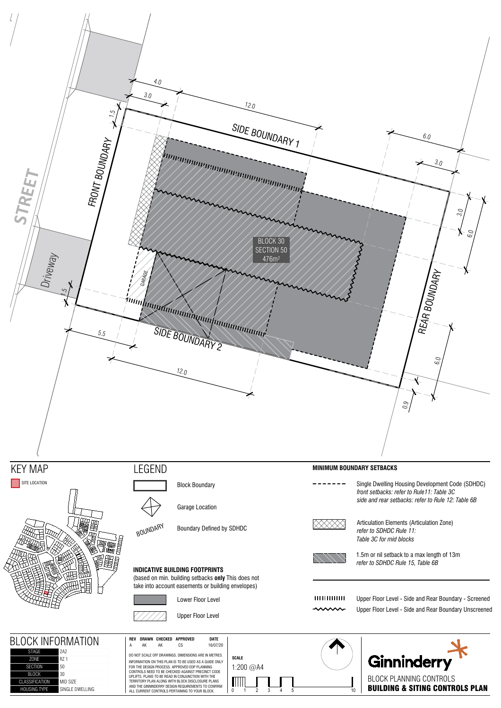